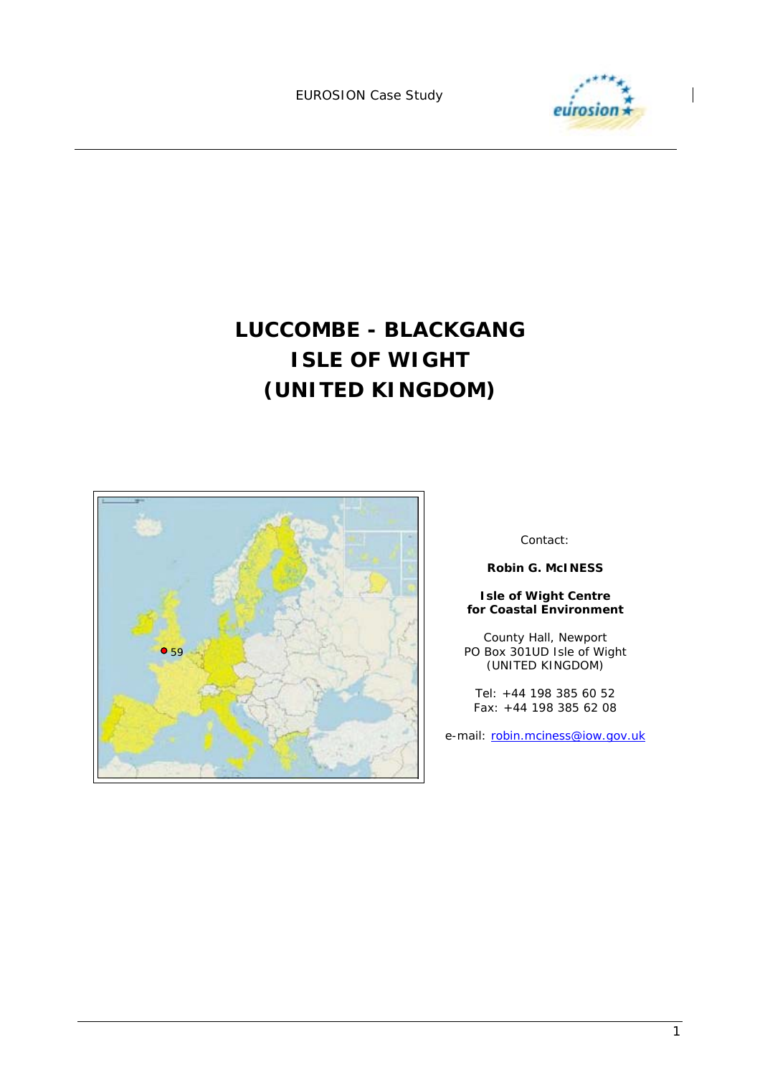

# **LUCCOMBE - BLACKGANG ISLE OF WIGHT (UNITED KINGDOM)**



Contact:

**Robin G. McINESS** 

#### **Isle of Wight Centre for Coastal Environment**

County Hall, Newport PO Box 301UD Isle of Wight (UNITED KINGDOM)

Tel: +44 198 385 60 52 Fax: +44 198 385 62 08

e-mail: robin.mciness@iow.gov.uk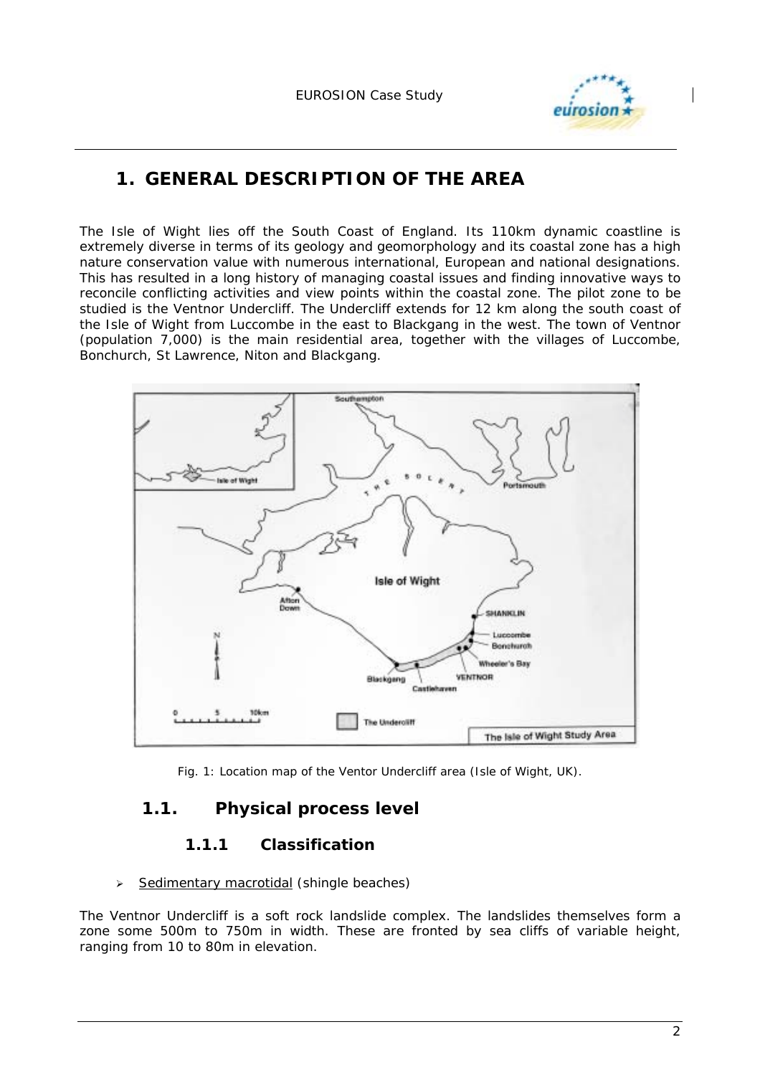

# **1. GENERAL DESCRIPTION OF THE AREA**

The Isle of Wight lies off the South Coast of England. Its 110km dynamic coastline is extremely diverse in terms of its geology and geomorphology and its coastal zone has a high nature conservation value with numerous international, European and national designations. This has resulted in a long history of managing coastal issues and finding innovative ways to reconcile conflicting activities and view points within the coastal zone. The pilot zone to be studied is the Ventnor Undercliff. The Undercliff extends for 12 km along the south coast of the Isle of Wight from Luccombe in the east to Blackgang in the west. The town of Ventnor (population 7,000) is the main residential area, together with the villages of Luccombe, Bonchurch, St Lawrence, Niton and Blackgang.



Fig. 1: Location map of the Ventor Undercliff area (Isle of Wight, UK).

# **1.1. Physical process level**

### **1.1.1 Classification**

#### $\geq$  Sedimentary macrotidal (shingle beaches)

The Ventnor Undercliff is a soft rock landslide complex. The landslides themselves form a zone some 500m to 750m in width. These are fronted by sea cliffs of variable height, ranging from 10 to 80m in elevation.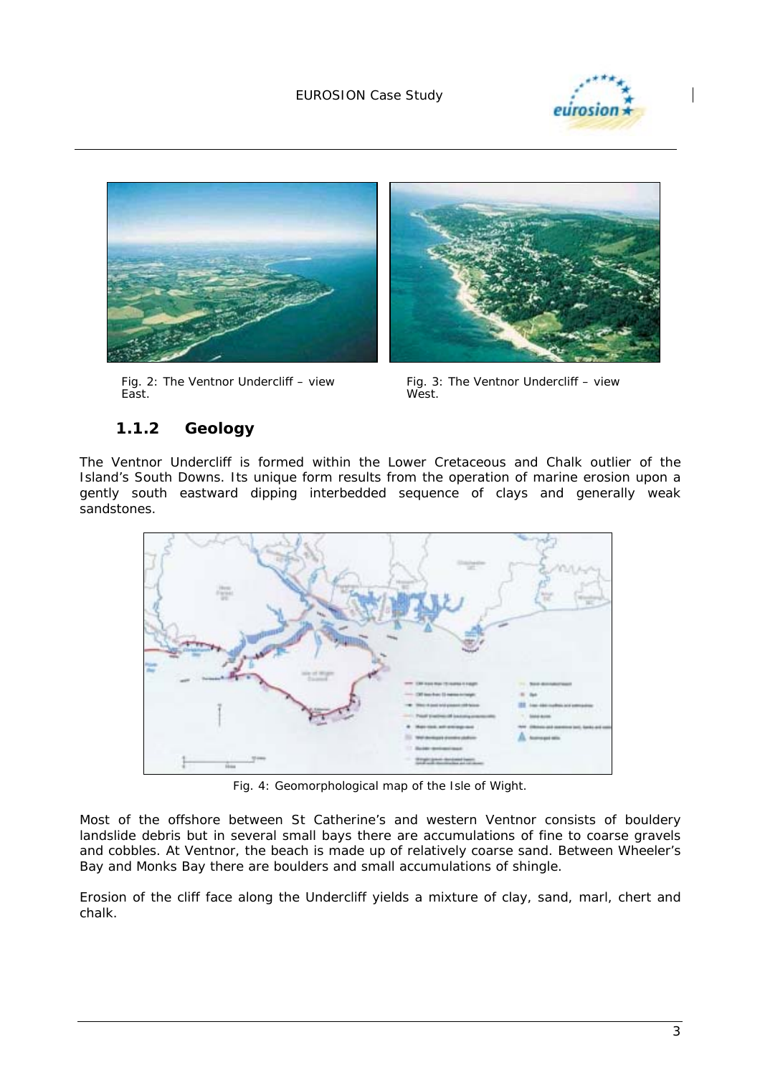



Fig. 2: The Ventnor Undercliff – view East.



Fig. 3: The Ventnor Undercliff – view West.

# **1.1.2 Geology**

The Ventnor Undercliff is formed within the Lower Cretaceous and Chalk outlier of the Island's South Downs. Its unique form results from the operation of marine erosion upon a gently south eastward dipping interbedded sequence of clays and generally weak sandstones.



*Fig. 4: Geomorphological map of the Isle of Wight.* 

Most of the offshore between St Catherine's and western Ventnor consists of bouldery landslide debris but in several small bays there are accumulations of fine to coarse gravels and cobbles. At Ventnor, the beach is made up of relatively coarse sand. Between Wheeler's Bay and Monks Bay there are boulders and small accumulations of shingle.

Erosion of the cliff face along the Undercliff yields a mixture of clay, sand, marl, chert and chalk.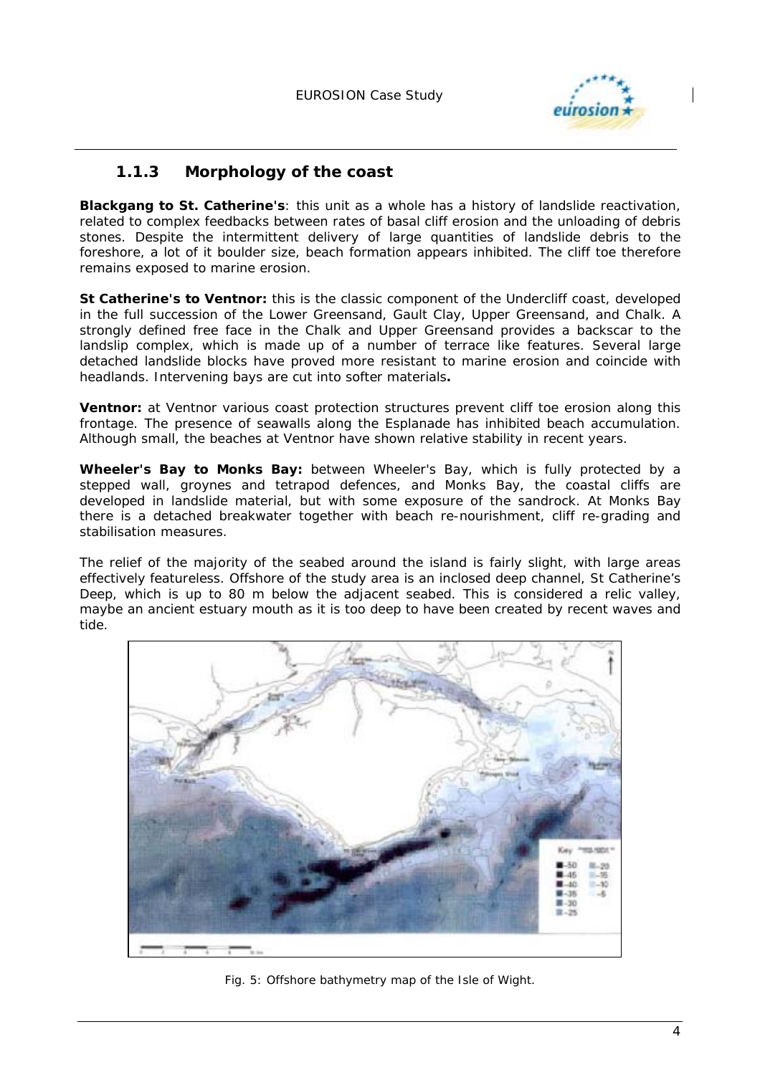

### **1.1.3 Morphology of the coast**

**Blackgang to St. Catherine's***:* this unit as a whole has a history of landslide reactivation, related to complex feedbacks between rates of basal cliff erosion and the unloading of debris stones. Despite the intermittent delivery of large quantities of landslide debris to the foreshore, a lot of it boulder size, beach formation appears inhibited. The cliff toe therefore remains exposed to marine erosion.

**St Catherine's to Ventnor:** this is the classic component of the Undercliff coast, developed in the full succession of the Lower Greensand, Gault Clay, Upper Greensand, and Chalk. A strongly defined free face in the Chalk and Upper Greensand provides a backscar to the landslip complex, which is made up of a number of terrace like features. Several large detached landslide blocks have proved more resistant to marine erosion and coincide with headlands. Intervening bays are cut into softer materials**.**

**Ventnor:** at Ventnor various coast protection structures prevent cliff toe erosion along this frontage. The presence of seawalls along the Esplanade has inhibited beach accumulation. Although small, the beaches at Ventnor have shown relative stability in recent years.

**Wheeler's Bay to Monks Bay:** between Wheeler's Bay, which is fully protected by a stepped wall, groynes and tetrapod defences, and Monks Bay, the coastal cliffs are developed in landslide material, but with some exposure of the sandrock. At Monks Bay there is a detached breakwater together with beach re-nourishment, cliff re-grading and stabilisation measures.

The relief of the majority of the seabed around the island is fairly slight, with large areas effectively featureless. Offshore of the study area is an inclosed deep channel, St Catherine's Deep, which is up to 80 m below the adjacent seabed. This is considered a relic valley, maybe an ancient estuary mouth as it is too deep to have been created by recent waves and tide.



*Fig. 5: Offshore bathymetry map of the Isle of Wight.*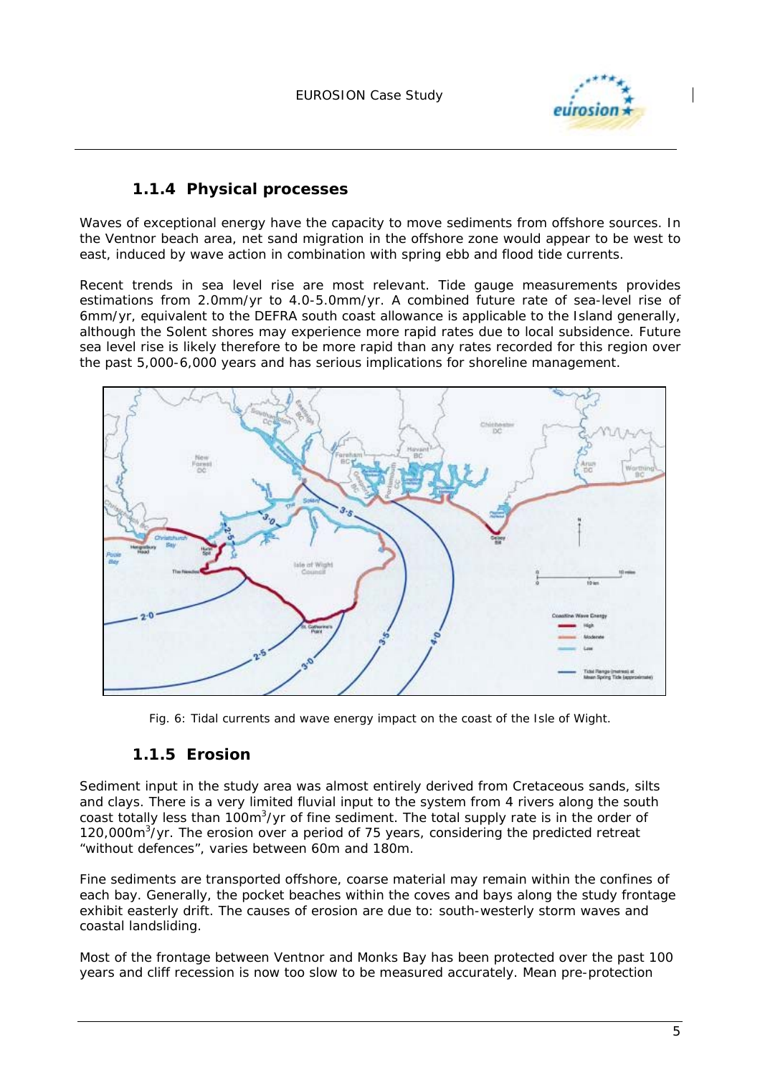

#### **1.1.4 Physical processes**

Waves of exceptional energy have the capacity to move sediments from offshore sources. In the Ventnor beach area, net sand migration in the offshore zone would appear to be west to east, induced by wave action in combination with spring ebb and flood tide currents.

Recent trends in sea level rise are most relevant. Tide gauge measurements provides estimations from 2.0mm/yr to 4.0-5.0mm/yr. A combined future rate of sea-level rise of 6mm/yr, equivalent to the DEFRA south coast allowance is applicable to the Island generally, although the Solent shores may experience more rapid rates due to local subsidence. Future sea level rise is likely therefore to be more rapid than any rates recorded for this region over the past 5,000-6,000 years and has serious implications for shoreline management.



*Fig. 6: Tidal currents and wave energy impact on the coast of the Isle of Wight.*

### **1.1.5 Erosion**

Sediment input in the study area was almost entirely derived from Cretaceous sands, silts and clays. There is a very limited fluvial input to the system from 4 rivers along the south coast totally less than 100m<sup>3</sup>/yr of fine sediment. The total supply rate is in the order of 120,000m<sup>3</sup>/yr. The erosion over a period of 75 years, considering the predicted retreat "without defences", varies between 60m and 180m.

Fine sediments are transported offshore, coarse material may remain within the confines of each bay. Generally, the pocket beaches within the coves and bays along the study frontage exhibit easterly drift. The causes of erosion are due to: south-westerly storm waves and coastal landsliding.

Most of the frontage between Ventnor and Monks Bay has been protected over the past 100 years and cliff recession is now too slow to be measured accurately. Mean pre-protection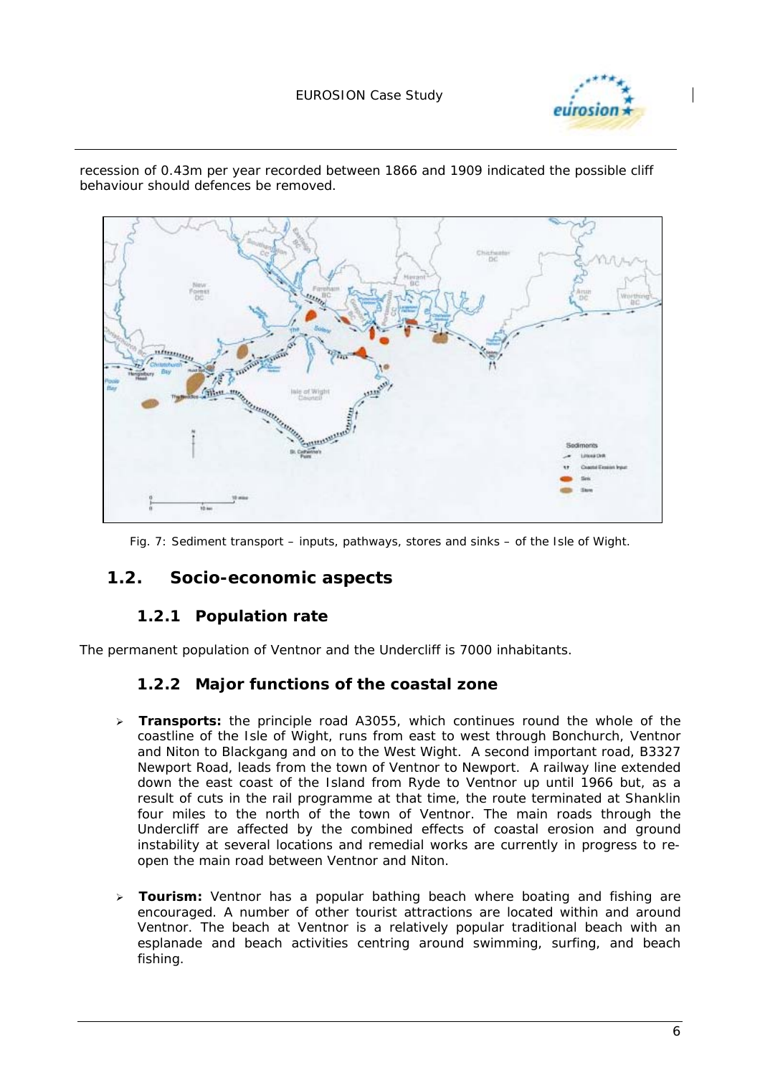#### EUROSION Case Study





recession of 0.43m per year recorded between 1866 and 1909 indicated the possible cliff behaviour should defences be removed.

*Fig. 7: Sediment transport – inputs, pathways, stores and sinks – of the Isle of Wight.* 

### **1.2. Socio-economic aspects**

### **1.2.1 Population rate**

The permanent population of Ventnor and the Undercliff is 7000 inhabitants.

#### **1.2.2 Major functions of the coastal zone**

- ! **Transports:** the principle road A3055, which continues round the whole of the coastline of the Isle of Wight, runs from east to west through Bonchurch, Ventnor and Niton to Blackgang and on to the West Wight. A second important road, B3327 Newport Road, leads from the town of Ventnor to Newport. A railway line extended down the east coast of the Island from Ryde to Ventnor up until 1966 but, as a result of cuts in the rail programme at that time, the route terminated at Shanklin four miles to the north of the town of Ventnor. The main roads through the Undercliff are affected by the combined effects of coastal erosion and ground instability at several locations and remedial works are currently in progress to reopen the main road between Ventnor and Niton.
- > **Tourism:** Ventnor has a popular bathing beach where boating and fishing are encouraged. A number of other tourist attractions are located within and around Ventnor. The beach at Ventnor is a relatively popular traditional beach with an esplanade and beach activities centring around swimming, surfing, and beach fishing.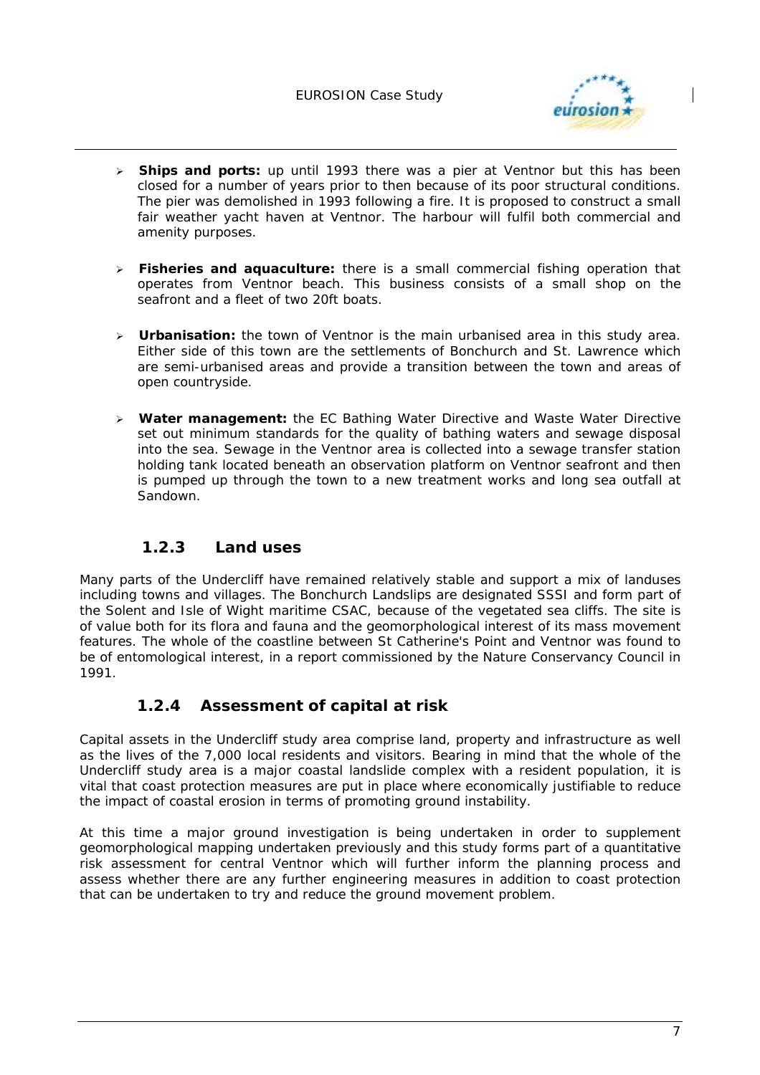

- ! **Ships and ports:** up until 1993 there was a pier at Ventnor but this has been closed for a number of years prior to then because of its poor structural conditions. The pier was demolished in 1993 following a fire. It is proposed to construct a small fair weather yacht haven at Ventnor. The harbour will fulfil both commercial and amenity purposes.
- ! **Fisheries and aquaculture:** there is a small commercial fishing operation that operates from Ventnor beach. This business consists of a small shop on the seafront and a fleet of two 20ft boats.
- ! **Urbanisation:** the town of Ventnor is the main urbanised area in this study area. Either side of this town are the settlements of Bonchurch and St. Lawrence which are semi-urbanised areas and provide a transition between the town and areas of open countryside.
- ! **Water management:** the EC Bathing Water Directive and Waste Water Directive set out minimum standards for the quality of bathing waters and sewage disposal into the sea. Sewage in the Ventnor area is collected into a sewage transfer station holding tank located beneath an observation platform on Ventnor seafront and then is pumped up through the town to a new treatment works and long sea outfall at Sandown.

## **1.2.3 Land uses**

Many parts of the Undercliff have remained relatively stable and support a mix of landuses including towns and villages. The Bonchurch Landslips are designated SSSI and form part of the Solent and Isle of Wight maritime CSAC, because of the vegetated sea cliffs. The site is of value both for its flora and fauna and the geomorphological interest of its mass movement features. The whole of the coastline between St Catherine's Point and Ventnor was found to be of entomological interest, in a report commissioned by the Nature Conservancy Council in 1991.

## **1.2.4 Assessment of capital at risk**

Capital assets in the Undercliff study area comprise land, property and infrastructure as well as the lives of the 7,000 local residents and visitors. Bearing in mind that the whole of the Undercliff study area is a major coastal landslide complex with a resident population, it is vital that coast protection measures are put in place where economically justifiable to reduce the impact of coastal erosion in terms of promoting ground instability.

At this time a major ground investigation is being undertaken in order to supplement geomorphological mapping undertaken previously and this study forms part of a quantitative risk assessment for central Ventnor which will further inform the planning process and assess whether there are any further engineering measures in addition to coast protection that can be undertaken to try and reduce the ground movement problem.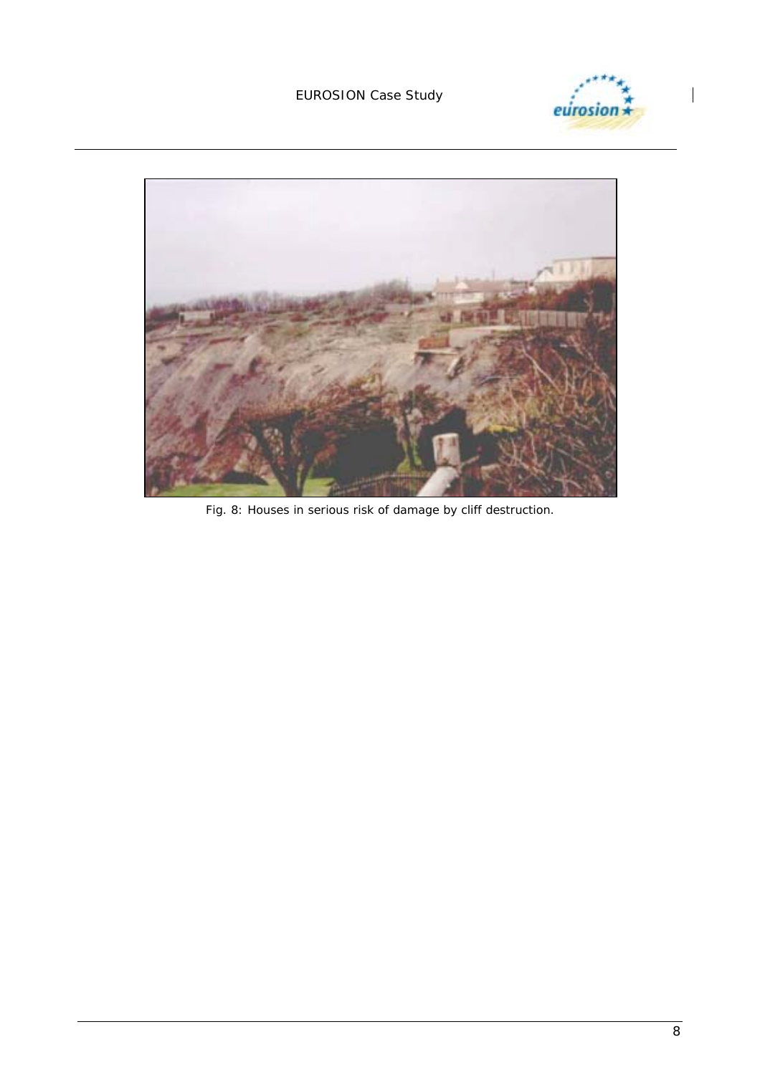#### EUROSION Case Study





*Fig. 8: Houses in serious risk of damage by cliff destruction.*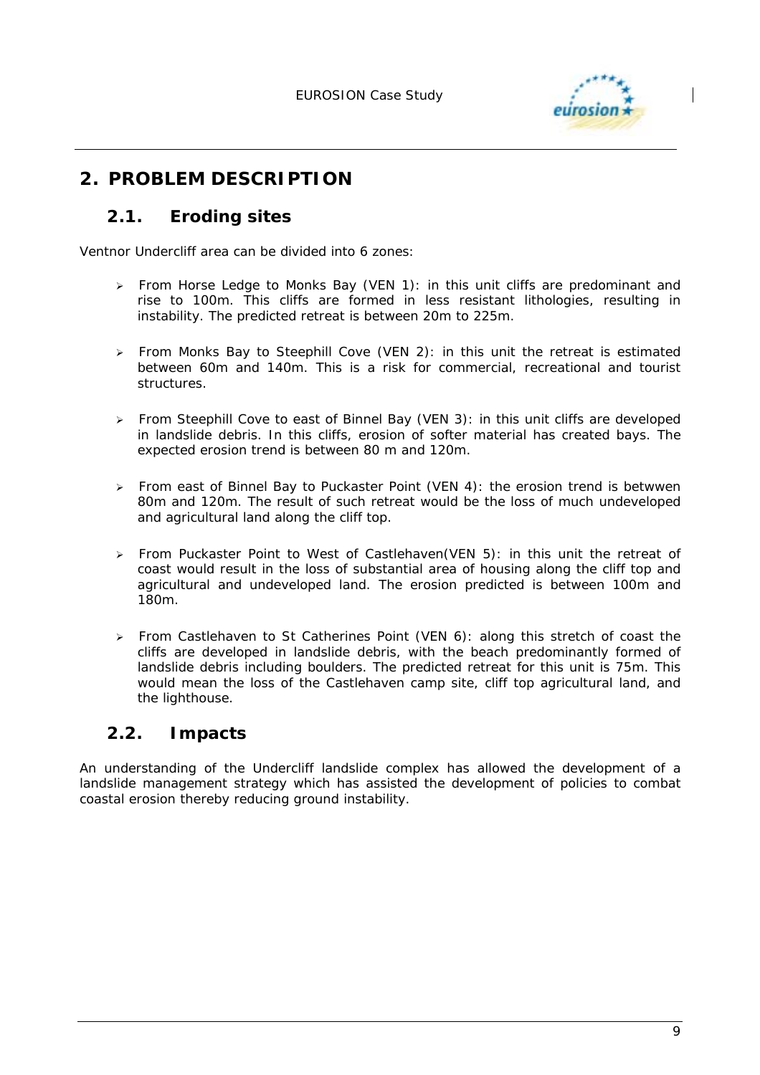

# **2. PROBLEM DESCRIPTION**

## **2.1. Eroding sites**

Ventnor Undercliff area can be divided into 6 zones:

- ! From *Horse Ledge to Monks Bay* (VEN 1): in this unit cliffs are predominant and rise to 100m. This cliffs are formed in less resistant lithologies, resulting in instability. The predicted retreat is between 20m to 225m.
- ! From *Monks Bay to Steephill Cove* (VEN 2): in this unit the retreat is estimated between 60m and 140m. This is a risk for commercial, recreational and tourist structures.
- ! From *Steephill Cove to east of Binnel Bay* (VEN 3): in this unit cliffs are developed in landslide debris. In this cliffs, erosion of softer material has created bays. The expected erosion trend is between 80 m and 120m.
- ! From *east of Binnel Bay to Puckaster Point* (VEN 4): the erosion trend is betwwen 80m and 120m. The result of such retreat would be the loss of much undeveloped and agricultural land along the cliff top.
- ! From *Puckaster Point to West of Castlehaven*(VEN 5): in this unit the retreat of coast would result in the loss of substantial area of housing along the cliff top and agricultural and undeveloped land. The erosion predicted is between 100m and 180m.
- ! From *Castlehaven to St Catherines Point* (VEN 6): along this stretch of coast the cliffs are developed in landslide debris, with the beach predominantly formed of landslide debris including boulders. The predicted retreat for this unit is 75m. This would mean the loss of the Castlehaven camp site, cliff top agricultural land, and the lighthouse.

# **2.2. Impacts**

An understanding of the Undercliff landslide complex has allowed the development of a landslide management strategy which has assisted the development of policies to combat coastal erosion thereby reducing ground instability.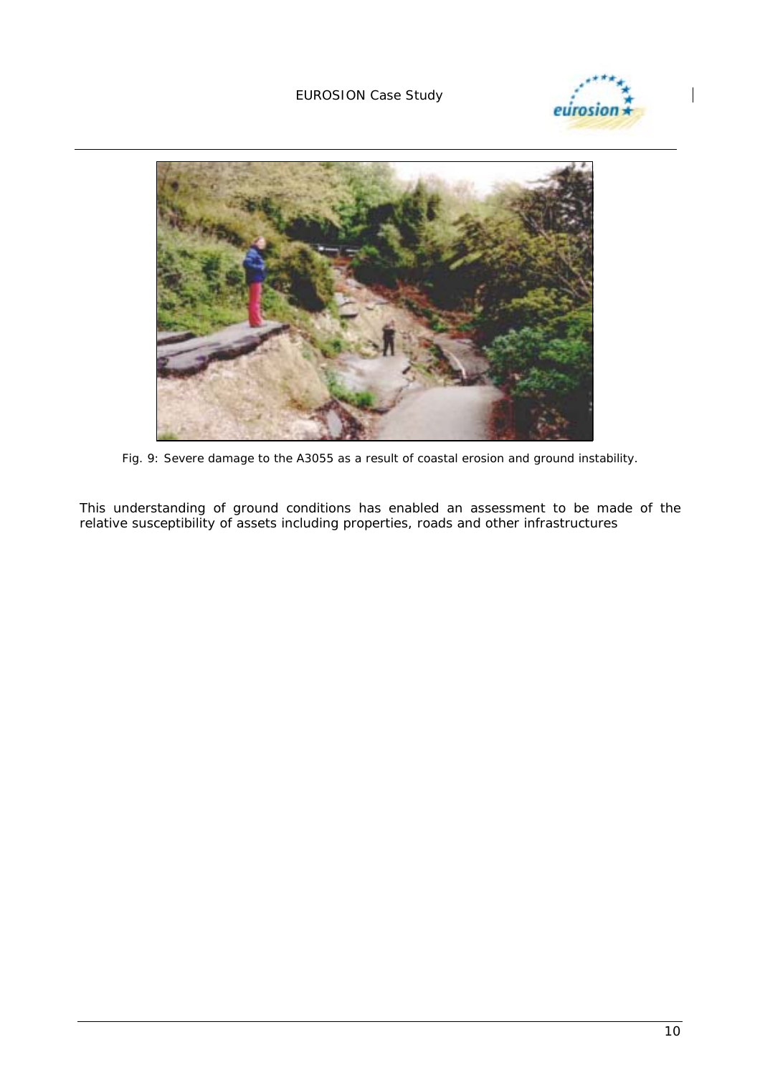EUROSION Case Study





*Fig. 9: Severe damage to the A3055 as a result of coastal erosion and ground instability.* 

This understanding of ground conditions has enabled an assessment to be made of the relative susceptibility of assets including properties, roads and other infrastructures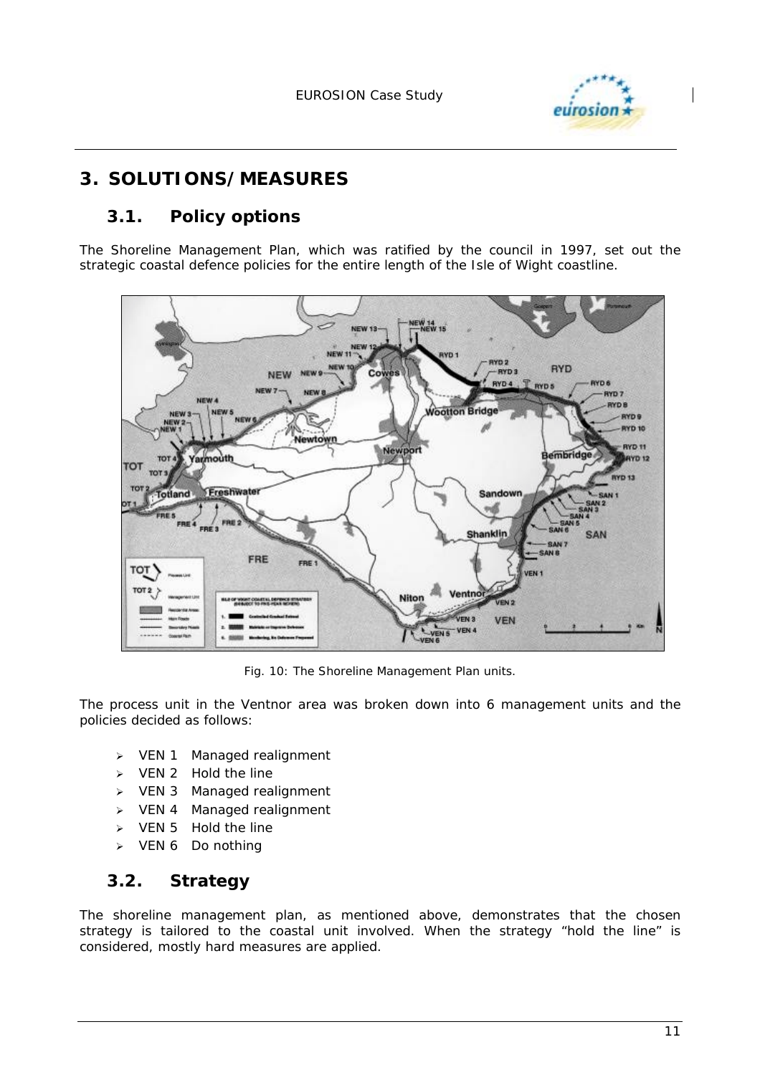

# **3. SOLUTIONS/MEASURES**

# **3.1. Policy options**

The Shoreline Management Plan, which was ratified by the council in 1997, set out the strategic coastal defence policies for the entire length of the Isle of Wight coastline.



*Fig. 10: The Shoreline Management Plan units.* 

The process unit in the Ventnor area was broken down into 6 management units and the policies decided as follows:

- $\triangleright$  VEN 1 Managed realignment
- $\triangleright$  VEN 2 Hold the line
- $\triangleright$  VEN 3 Managed realignment
- > VEN 4 Managed realignment
- $\triangleright$  VEN 5 Hold the line
- $\triangleright$  VEN 6 Do nothing

# **3.2. Strategy**

The shoreline management plan, as mentioned above, demonstrates that the chosen strategy is tailored to the coastal unit involved. When the strategy "hold the line" is considered, mostly hard measures are applied.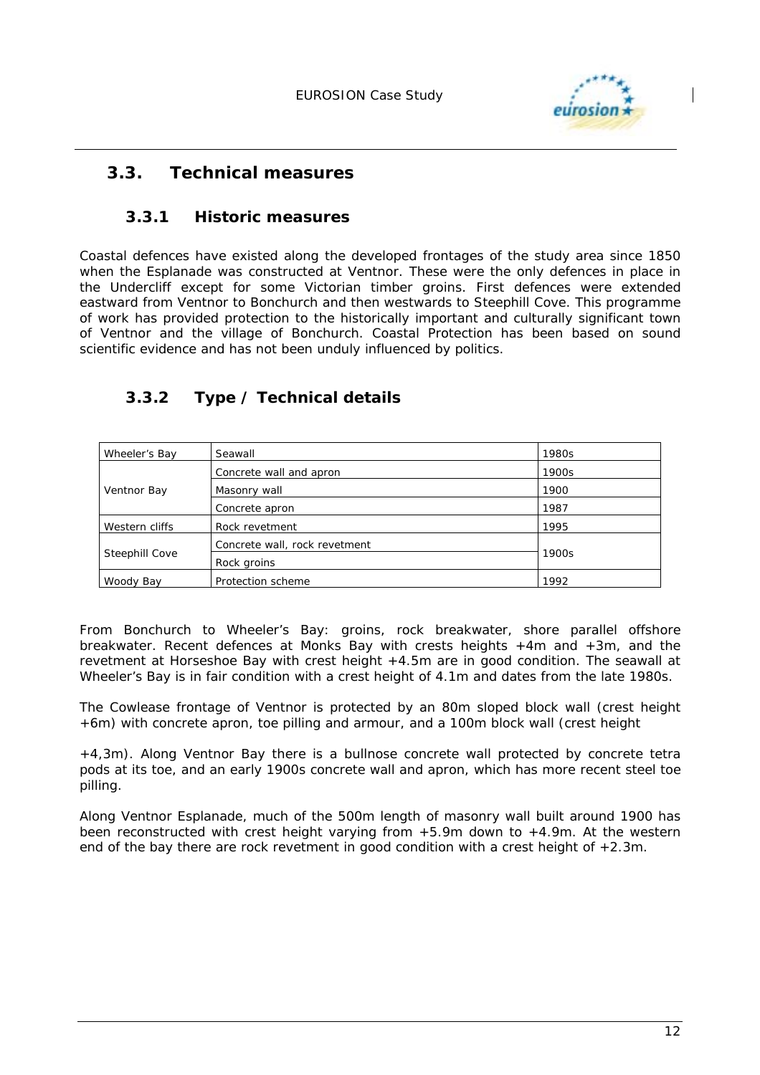

# **3.3. Technical measures**

### **3.3.1 Historic measures**

Coastal defences have existed along the developed frontages of the study area since 1850 when the Esplanade was constructed at Ventnor. These were the only defences in place in the Undercliff except for some Victorian timber groins. First defences were extended eastward from Ventnor to Bonchurch and then westwards to Steephill Cove. This programme of work has provided protection to the historically important and culturally significant town of Ventnor and the village of Bonchurch. Coastal Protection has been based on sound scientific evidence and has not been unduly influenced by politics.

# **3.3.2 Type / Technical details**

| Wheeler's Bay  | Seawall                       | 1980s |
|----------------|-------------------------------|-------|
| Ventnor Bay    | Concrete wall and apron       | 1900s |
|                | Masonry wall                  | 1900  |
|                | Concrete apron                | 1987  |
| Western cliffs | Rock revetment                | 1995  |
| Steephill Cove | Concrete wall, rock revetment | 1900s |
|                | Rock groins                   |       |
| Woody Bay      | Protection scheme             | 1992  |

From *Bonchurch to Wheeler's Bay*: groins, rock breakwater, shore parallel offshore breakwater. Recent defences at Monks Bay with crests heights +4m and +3m, and the revetment at Horseshoe Bay with crest height +4.5m are in good condition. The seawall at Wheeler's Bay is in fair condition with a crest height of 4.1m and dates from the late 1980s.

The *Cowlease frontage of Ventnor* is protected by an 80m sloped block wall (crest height +6m) with concrete apron, toe pilling and armour, and a 100m block wall (crest height

+4,3m). Along Ventnor Bay there is a bullnose concrete wall protected by concrete tetra pods at its toe, and an early 1900s concrete wall and apron, which has more recent steel toe pilling.

Along *Ventnor Esplanade*, much of the 500m length of masonry wall built around 1900 has been reconstructed with crest height varying from +5.9m down to +4.9m. At the western end of the bay there are rock revetment in good condition with a crest height of  $+2.3$ m.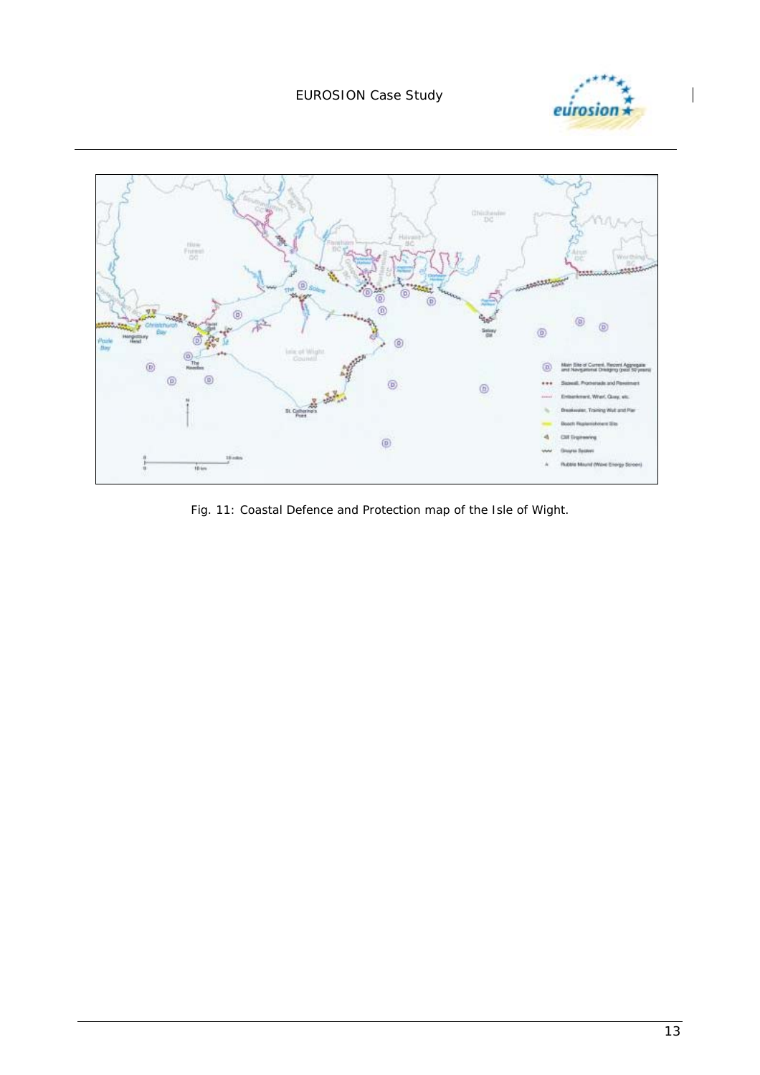



*Fig. 11: Coastal Defence and Protection map of the Isle of Wight.*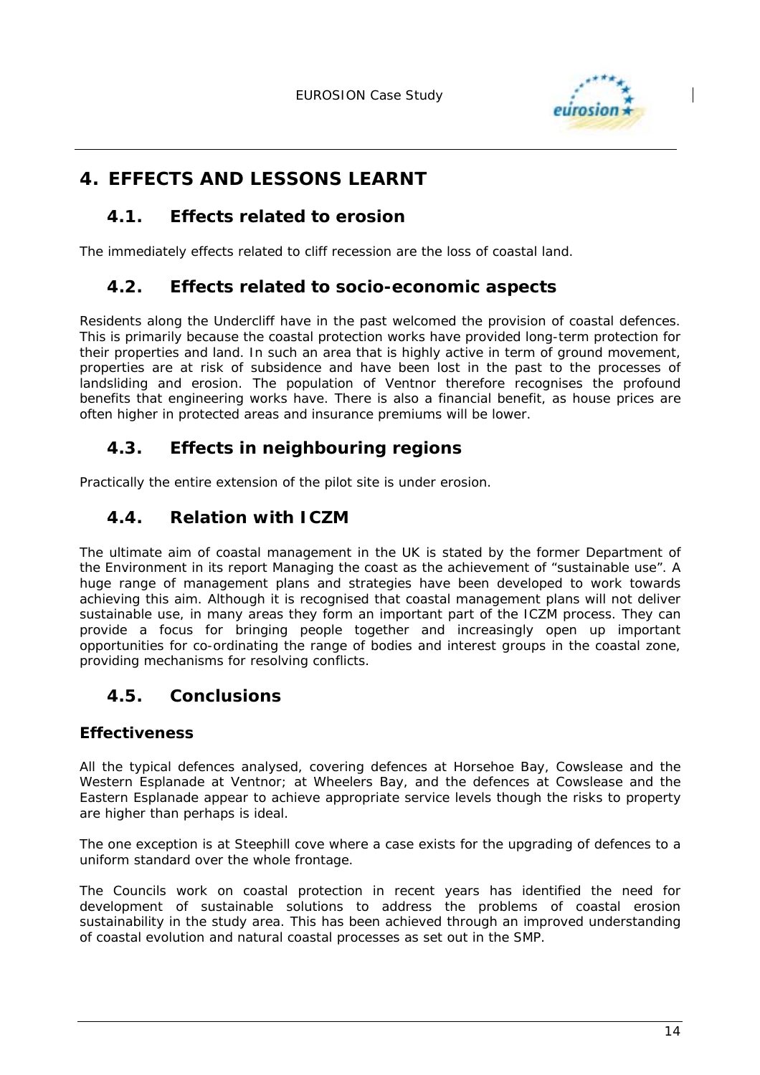

# **4. EFFECTS AND LESSONS LEARNT**

## **4.1. Effects related to erosion**

The immediately effects related to cliff recession are the loss of coastal land.

# **4.2. Effects related to socio-economic aspects**

Residents along the Undercliff have in the past welcomed the provision of coastal defences. This is primarily because the coastal protection works have provided long-term protection for their properties and land. In such an area that is highly active in term of ground movement, properties are at risk of subsidence and have been lost in the past to the processes of landsliding and erosion. The population of Ventnor therefore recognises the profound benefits that engineering works have. There is also a financial benefit, as house prices are often higher in protected areas and insurance premiums will be lower.

# **4.3. Effects in neighbouring regions**

Practically the entire extension of the pilot site is under erosion.

# **4.4. Relation with ICZM**

The ultimate aim of coastal management in the UK is stated by the former Department of the Environment in its report Managing the coast as the achievement of "sustainable use". A huge range of management plans and strategies have been developed to work towards achieving this aim. Although it is recognised that coastal management plans will not deliver sustainable use, in many areas they form an important part of the ICZM process. They can provide a focus for bringing people together and increasingly open up important opportunities for co-ordinating the range of bodies and interest groups in the coastal zone, providing mechanisms for resolving conflicts.

## **4.5. Conclusions**

## **Effectiveness**

All the typical defences analysed, covering defences at Horsehoe Bay, Cowslease and the Western Esplanade at Ventnor; at Wheelers Bay, and the defences at Cowslease and the Eastern Esplanade appear to achieve appropriate service levels though the risks to property are higher than perhaps is ideal.

The one exception is at Steephill cove where a case exists for the upgrading of defences to a uniform standard over the whole frontage.

The Councils work on coastal protection in recent years has identified the need for development of sustainable solutions to address the problems of coastal erosion sustainability in the study area. This has been achieved through an improved understanding of coastal evolution and natural coastal processes as set out in the SMP.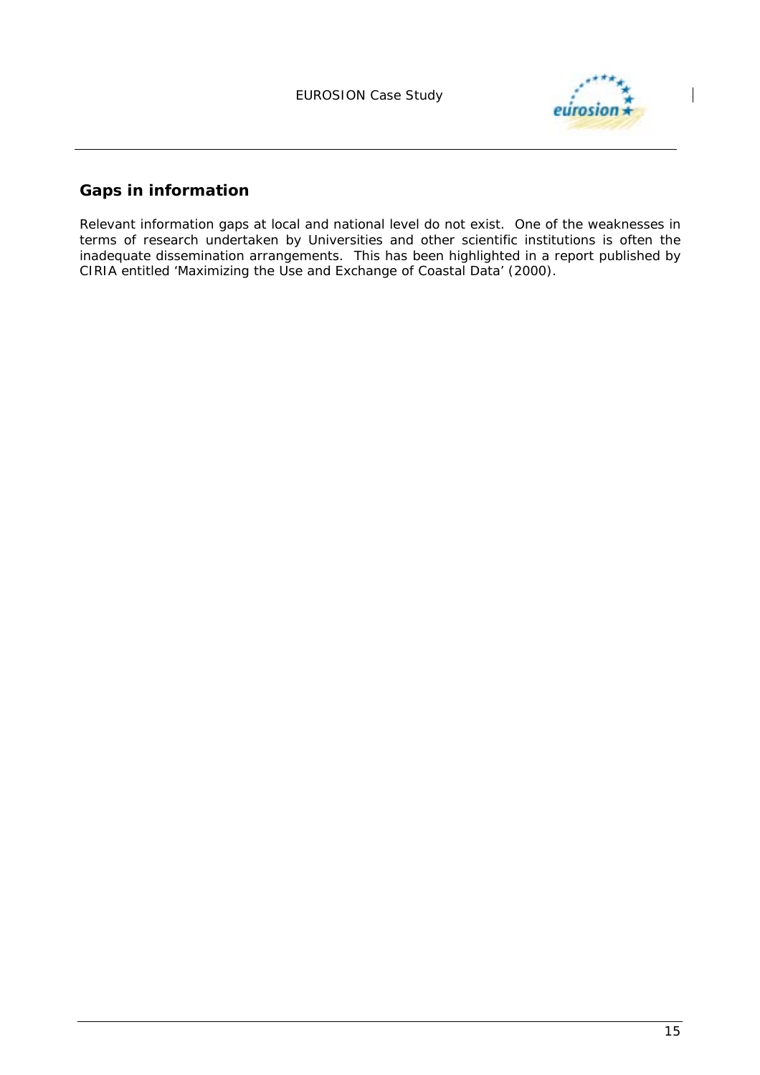

# **Gaps in information**

Relevant information gaps at local and national level do not exist. One of the weaknesses in terms of research undertaken by Universities and other scientific institutions is often the inadequate dissemination arrangements. This has been highlighted in a report published by CIRIA entitled 'Maximizing the Use and Exchange of Coastal Data' (2000).